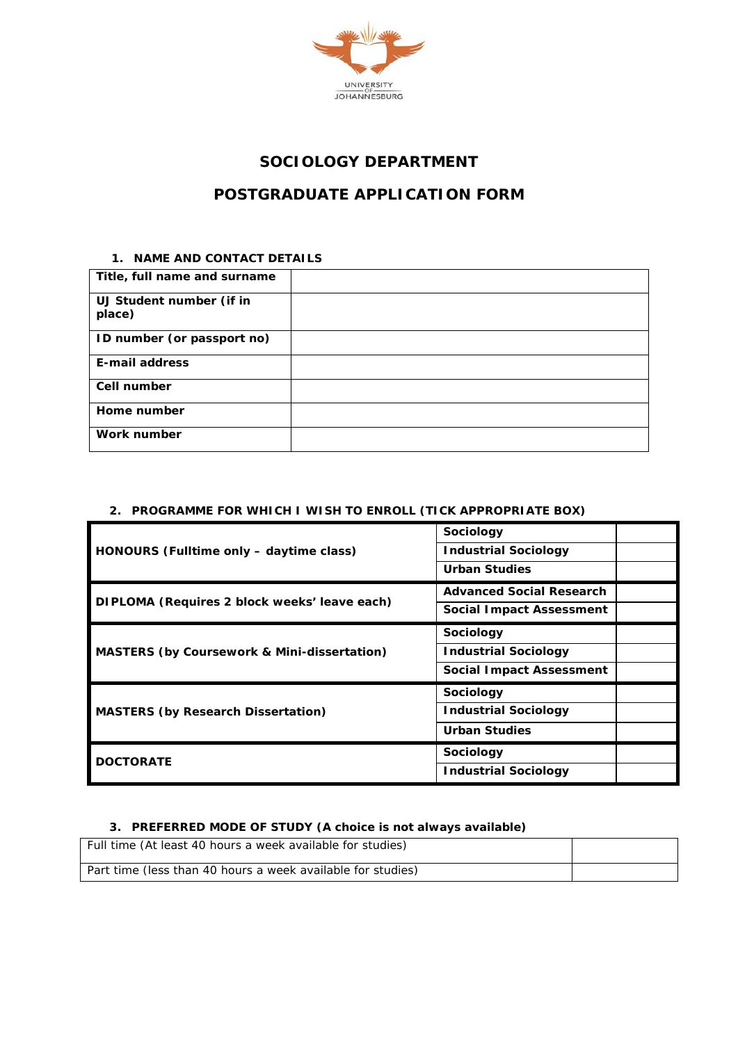

## **SOCIOLOGY DEPARTMENT**

# **POSTGRADUATE APPLICATION FORM**

#### **1. NAME AND CONTACT DETAILS**

| Title, full name and surname       |  |
|------------------------------------|--|
| UJ Student number (if in<br>place) |  |
| ID number (or passport no)         |  |
| E-mail address                     |  |
| Cell number                        |  |
| Home number                        |  |
| Work number                        |  |

### **2. PROGRAMME FOR WHICH I WISH TO ENROLL (TICK APPROPRIATE BOX)**

|                                                        | Sociology                       |  |
|--------------------------------------------------------|---------------------------------|--|
| HONOURS (Fulltime only - daytime class)                | <b>Industrial Sociology</b>     |  |
|                                                        | <b>Urban Studies</b>            |  |
|                                                        | <b>Advanced Social Research</b> |  |
| DIPLOMA (Requires 2 block weeks' leave each)           | Social Impact Assessment        |  |
|                                                        | Sociology                       |  |
| <b>MASTERS (by Coursework &amp; Mini-dissertation)</b> | <b>Industrial Sociology</b>     |  |
|                                                        | <b>Social Impact Assessment</b> |  |
|                                                        | Sociology                       |  |
| <b>MASTERS (by Research Dissertation)</b>              | <b>Industrial Sociology</b>     |  |
|                                                        | <b>Urban Studies</b>            |  |
| <b>DOCTORATE</b>                                       | Sociology                       |  |
|                                                        | <b>Industrial Sociology</b>     |  |

#### **3. PREFERRED MODE OF STUDY (A choice is not always available)**

| Full time (At least 40 hours a week available for studies)  |  |
|-------------------------------------------------------------|--|
| Part time (less than 40 hours a week available for studies) |  |